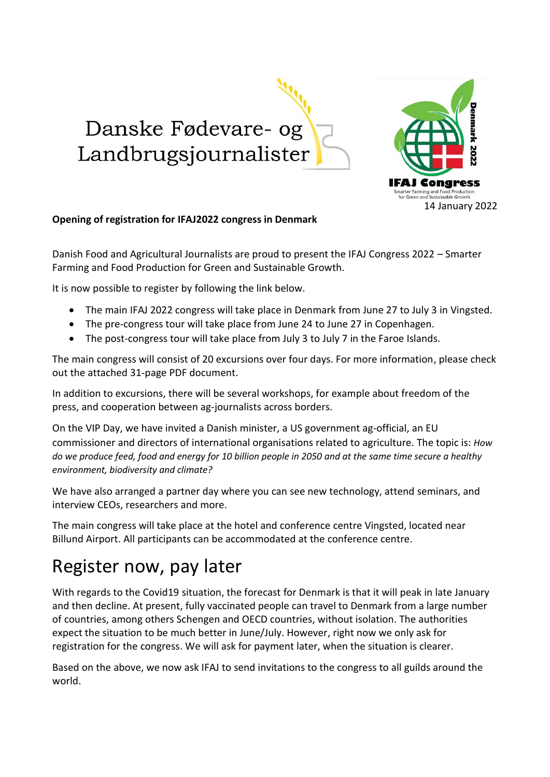Danske Fødevare- og Landbrugsjournalister



## **Opening of registration for IFAJ2022 congress in Denmark**

Danish Food and Agricultural Journalists are proud to present the IFAJ Congress 2022 – Smarter Farming and Food Production for Green and Sustainable Growth.

It is now possible to register by following the link below.

- The main IFAJ 2022 congress will take place in Denmark from June 27 to July 3 in Vingsted.
- The pre-congress tour will take place from June 24 to June 27 in Copenhagen.
- The post-congress tour will take place from July 3 to July 7 in the Faroe Islands.

The main congress will consist of 20 excursions over four days. For more information, please check out the attached 31-page PDF document.

In addition to excursions, there will be several workshops, for example about freedom of the press, and cooperation between ag-journalists across borders.

On the VIP Day, we have invited a Danish minister, a US government ag-official, an EU commissioner and directors of international organisations related to agriculture. The topic is: *How do we produce feed, food and energy for 10 billion people in 2050 and at the same time secure a healthy environment, biodiversity and climate?*

We have also arranged a partner day where you can see new technology, attend seminars, and interview CEOs, researchers and more.

The main congress will take place at the hotel and conference centre Vingsted, located near Billund Airport. All participants can be accommodated at the conference centre.

## Register now, pay later

With regards to the Covid19 situation, the forecast for Denmark is that it will peak in late January and then decline. At present, fully vaccinated people can travel to Denmark from a large number of countries, among others Schengen and OECD countries, without isolation. The authorities expect the situation to be much better in June/July. However, right now we only ask for registration for the congress. We will ask for payment later, when the situation is clearer.

Based on the above, we now ask IFAJ to send invitations to the congress to all guilds around the world.